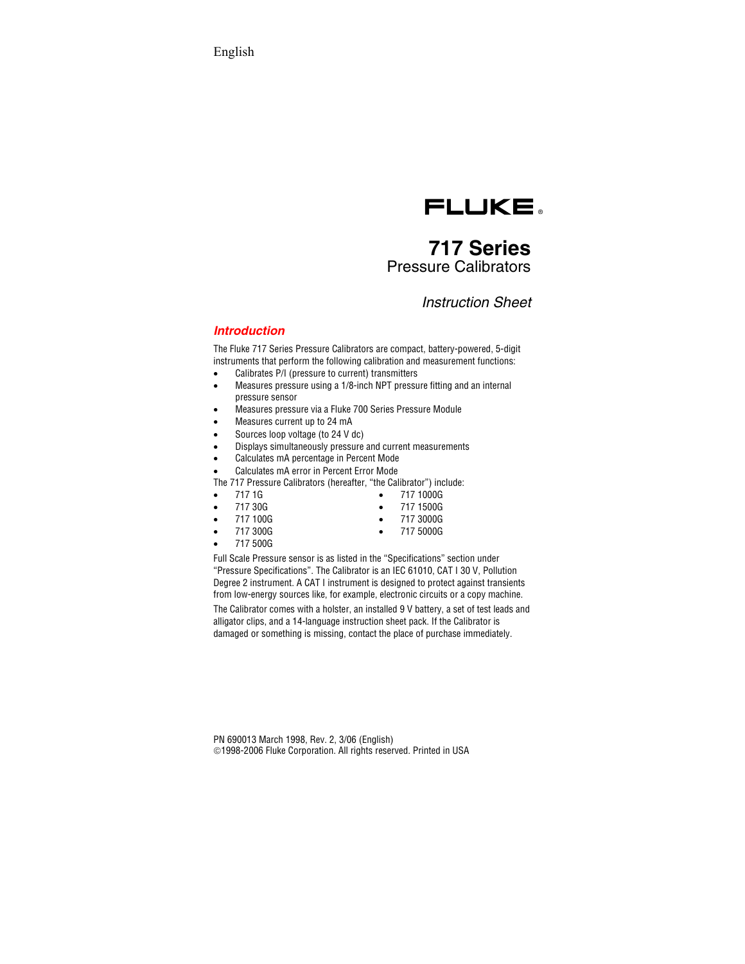

# **717 Series**  Pressure Calibrators

## *Instruction Sheet*

### *Introduction*

The Fluke 717 Series Pressure Calibrators are compact, battery-powered, 5-digit instruments that perform the following calibration and measurement functions:

- Calibrates P/I (pressure to current) transmitters
- Measures pressure using a 1/8-inch NPT pressure fitting and an internal pressure sensor
- Measures pressure via a Fluke 700 Series Pressure Module
- Measures current up to 24 mA
- Sources loop voltage (to 24 V dc)
- Displays simultaneously pressure and current measurements
- Calculates mA percentage in Percent Mode
- Calculates mA error in Percent Error Mode

The 717 Pressure Calibrators (hereafter, "the Calibrator") include:

- 717 1G
- 717 30G
- 717 100G
- 717 300G
- 717 500G

Full Scale Pressure sensor is as listed in the "Specifications" section under "Pressure Specifications". The Calibrator is an IEC 61010, CAT I 30 V, Pollution Degree 2 instrument. A CAT I instrument is designed to protect against transients from low-energy sources like, for example, electronic circuits or a copy machine. The Calibrator comes with a holster, an installed 9 V battery, a set of test leads and alligator clips, and a 14-language instruction sheet pack. If the Calibrator is damaged or something is missing, contact the place of purchase immediately.

• 717 1000G • 717 1500G • 717 3000G • 717 5000G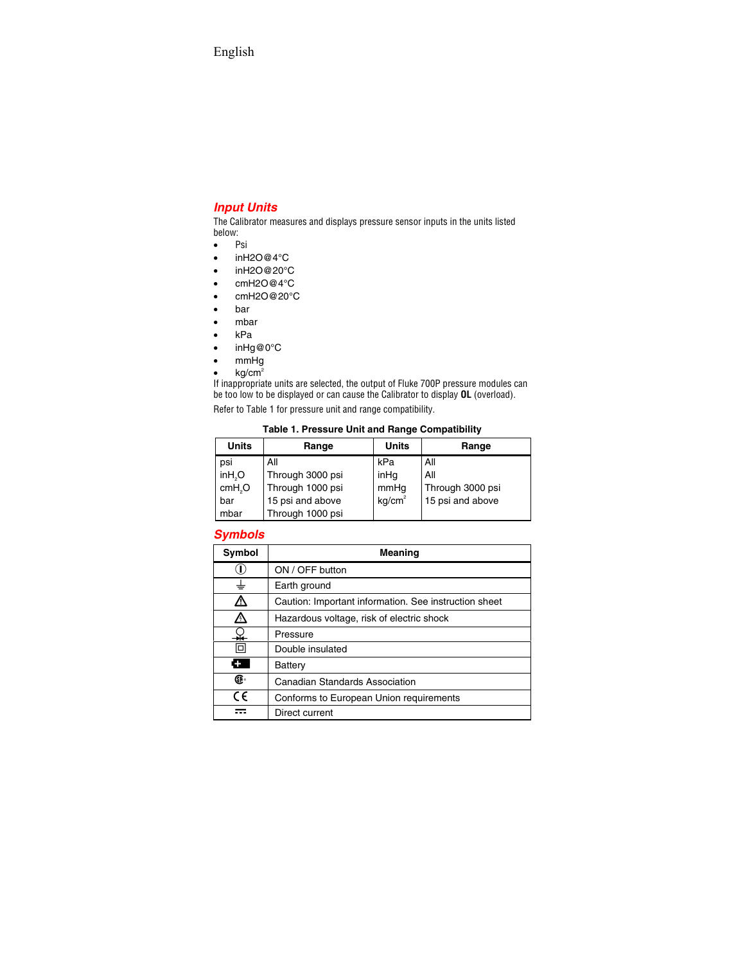## *Input Units*

The Calibrator measures and displays pressure sensor inputs in the units listed below:

- Psi
- $\bullet$  in H<sub>2</sub>O@4°C
- inH2O@20°C
- cmH2O@4°C
- cmH2O@20°C
- bar
- mbar
- kPa
- inHg@0°C
- mmHg
- $\bullet$  kg/cm<sup>2</sup>

If inappropriate units are selected, the output of Fluke 700P pressure modules can be too low to be displayed or can cause the Calibrator to display **OL** (overload).

Refer to Table 1 for pressure unit and range compatibility.

### **Table 1. Pressure Unit and Range Compatibility**

| <b>Units</b>        | Range            | <b>Units</b>       | Range            |
|---------------------|------------------|--------------------|------------------|
| psi                 | All              | kPa                | All              |
| in H <sub>2</sub> O | Through 3000 psi | inHq               | All              |
| cmH <sub>2</sub> O  | Through 1000 psi | mmHg               | Through 3000 psi |
| bar                 | 15 psi and above | kg/cm <sup>2</sup> | 15 psi and above |
| mbar                | Through 1000 psi |                    |                  |

### *Symbols*

| Symbol     | <b>Meaning</b>                                        |  |
|------------|-------------------------------------------------------|--|
| $\cup$     | ON / OFF button                                       |  |
| ╧          | Earth ground                                          |  |
| Δ          | Caution: Important information. See instruction sheet |  |
| ⚠          | Hazardous voltage, risk of electric shock             |  |
| ¥          | Pressure                                              |  |
| 回          | Double insulated                                      |  |
| н.         | Battery                                               |  |
| Œ          | Canadian Standards Association                        |  |
| $\epsilon$ | Conforms to European Union requirements               |  |
|            | Direct current                                        |  |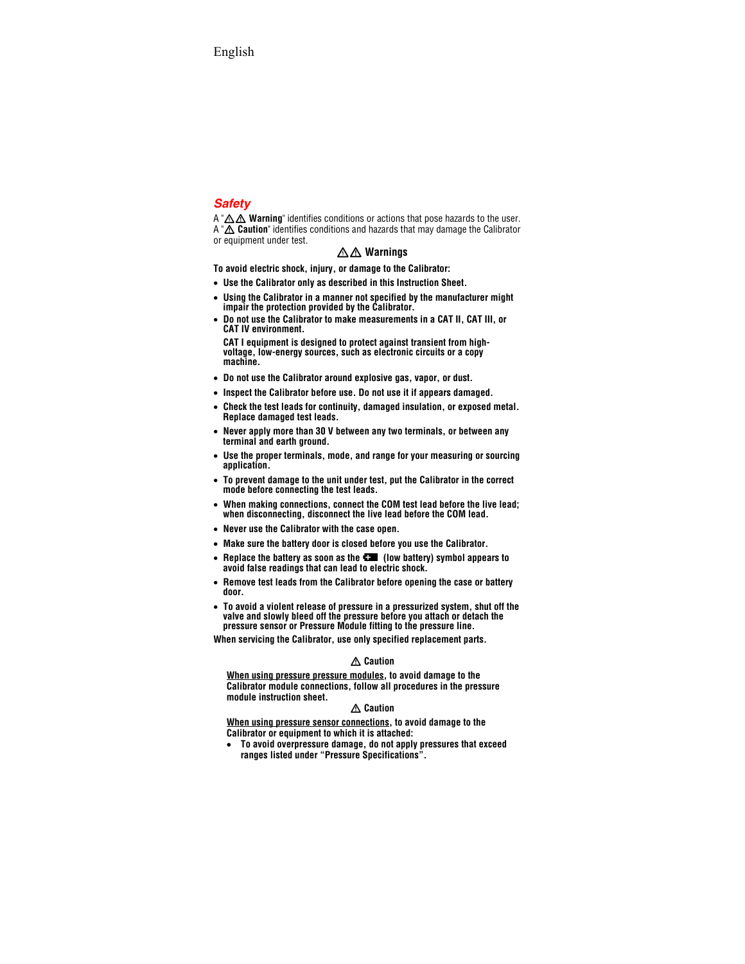## *Safety*

A "A A Warning" identifies conditions or actions that pose hazards to the user. A " $\triangle$  Caution" identifies conditions and hazards that may damage the Calibrator or equipment under test.

## XW **Warnings**

**To avoid electric shock, injury, or damage to the Calibrator:** 

- **Use the Calibrator only as described in this Instruction Sheet.**
- **Using the Calibrator in a manner not specified by the manufacturer might impair the protection provided by the Calibrator.**
- **Do not use the Calibrator to make measurements in a CAT II, CAT III, or CAT IV environment.**

**CAT I equipment is designed to protect against transient from highvoltage, low-energy sources, such as electronic circuits or a copy machine.** 

- **Do not use the Calibrator around explosive gas, vapor, or dust.**
- **Inspect the Calibrator before use. Do not use it if appears damaged.**
- **Check the test leads for continuity, damaged insulation, or exposed metal. Replace damaged test leads.**
- **Never apply more than 30 V between any two terminals, or between any terminal and earth ground.**
- **Use the proper terminals, mode, and range for your measuring or sourcing application.**
- **To prevent damage to the unit under test, put the Calibrator in the correct mode before connecting the test leads.**
- **When making connections, connect the COM test lead before the live lead; when disconnecting, disconnect the live lead before the COM lead.**
- **Never use the Calibrator with the case open.**
- **Make sure the battery door is closed before you use the Calibrator.**
- Replace the battery as soon as the **CM** (low battery) symbol appears to **avoid false readings that can lead to electric shock.**
- **Remove test leads from the Calibrator before opening the case or battery door.**
- **To avoid a violent release of pressure in a pressurized system, shut off the valve and slowly bleed off the pressure before you attach or detach the pressure sensor or Pressure Module fitting to the pressure line.**

**When servicing the Calibrator, use only specified replacement parts.**

### W **Caution**

**When using pressure pressure modules, to avoid damage to the Calibrator module connections, follow all procedures in the pressure module instruction sheet.**

### W **Caution**

**When using pressure sensor connections, to avoid damage to the Calibrator or equipment to which it is attached:** 

• **To avoid overpressure damage, do not apply pressures that exceed ranges listed under "Pressure Specifications".**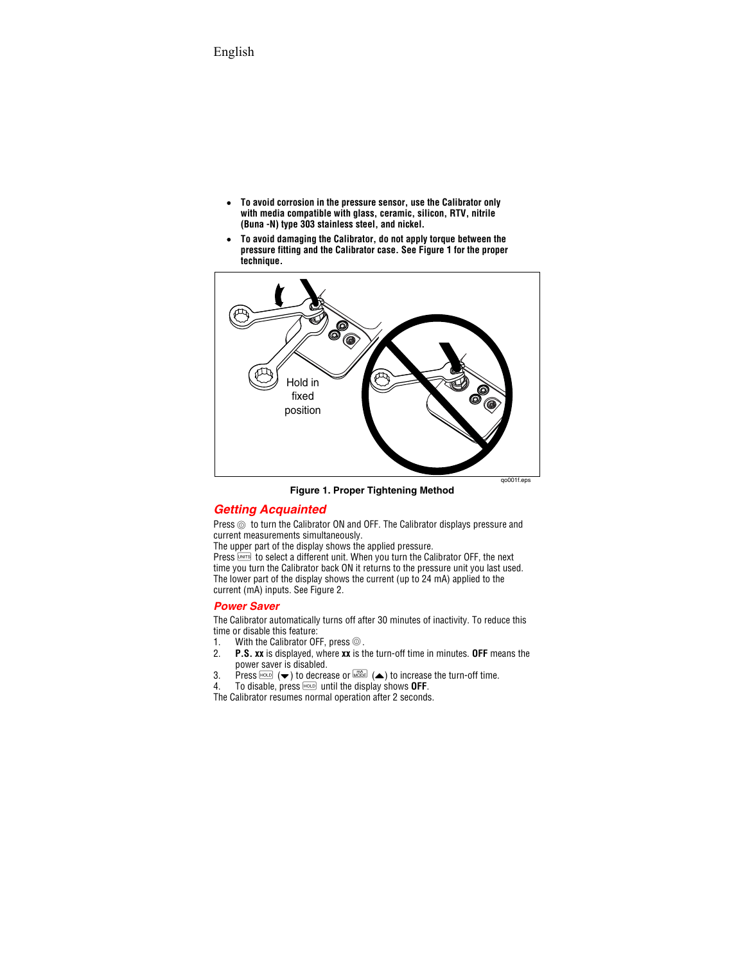- **To avoid corrosion in the pressure sensor, use the Calibrator only with media compatible with glass, ceramic, silicon, RTV, nitrile (Buna -N) type 303 stainless steel, and nickel.**
- **To avoid damaging the Calibrator, do not apply torque between the pressure fitting and the Calibrator case. See Figure 1 for the proper technique.**



**Figure 1. Proper Tightening Method** 

## *Getting Acquainted*

Press  $<sup>®</sup>$  to turn the Calibrator ON and OFF. The Calibrator displays pressure and</sup> current measurements simultaneously.

The upper part of the display shows the applied pressure.

Press **UNITS** to select a different unit. When you turn the Calibrator OFF, the next time you turn the Calibrator back ON it returns to the pressure unit you last used. The lower part of the display shows the current (up to 24 mA) applied to the current (mA) inputs. See Figure 2.

### *Power Saver*

The Calibrator automatically turns off after 30 minutes of inactivity. To reduce this time or disable this feature:<br>1. With the Calibrator OF

- 1. With the Calibrator OFF, press  $\circledcirc$ .<br>2. **P.S. xx** is displayed, where **xx** is the
- 2. **P.S. xx** is displayed, where **xx** is the turn-off time in minutes. **OFF** means the power saver is disabled.
- 3. Press  $H_{\text{QCD}}$  ( $\blacktriangleright$ ) to decrease or  $\overline{W_{\text{QCD}}^{\text{QCD}}}$  ( $\blacktriangle$ ) to increase the turn-off time.
- 4. To disable, press **HOLD** until the display shows **OFF**.

The Calibrator resumes normal operation after 2 seconds.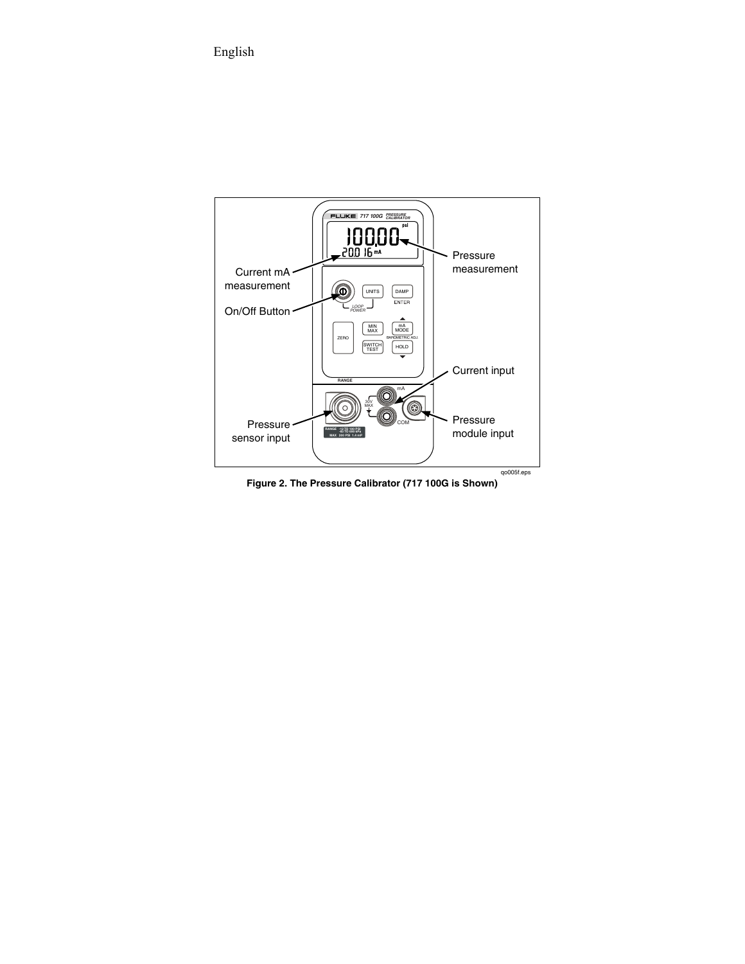

**Figure 2. The Pressure Calibrator (717 100G is Shown)**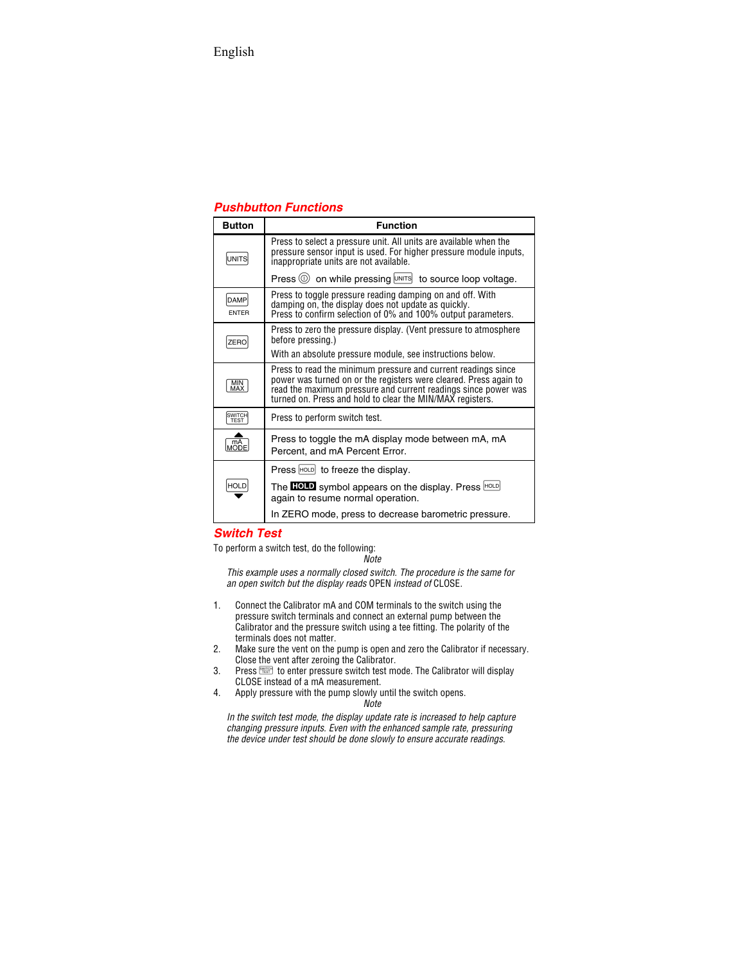## *Pushbutton Functions*

| <b>Button</b>               | <b>Function</b>                                                                                                                                                                                                                                                   |
|-----------------------------|-------------------------------------------------------------------------------------------------------------------------------------------------------------------------------------------------------------------------------------------------------------------|
| UNITS                       | Press to select a pressure unit. All units are available when the<br>pressure sensor input is used. For higher pressure module inputs,<br>inappropriate units are not available.                                                                                  |
|                             | Press $\circledcirc$ on while pressing $\text{unirs}$ to source loop voltage.                                                                                                                                                                                     |
| <b>DAMP</b><br><b>ENTER</b> | Press to toggle pressure reading damping on and off. With<br>damping on, the display does not update as quickly.<br>Press to confirm selection of 0% and 100% output parameters.                                                                                  |
| ZERC                        | Press to zero the pressure display. (Vent pressure to atmosphere<br>before pressing.)                                                                                                                                                                             |
|                             | With an absolute pressure module, see instructions below.                                                                                                                                                                                                         |
| <b>MIN</b><br>MAX           | Press to read the minimum pressure and current readings since<br>power was turned on or the registers were cleared. Press again to<br>read the maximum pressure and current readings since power was<br>turned on. Press and hold to clear the MIN/MAX registers. |
| SWITCH<br><b>TEST</b>       | Press to perform switch test.                                                                                                                                                                                                                                     |
| MODE                        | Press to toggle the mA display mode between mA, mA<br>Percent, and mA Percent Error.                                                                                                                                                                              |
|                             | Press $ HQCD $ to freeze the display.                                                                                                                                                                                                                             |
| <b>HOLD</b>                 | The <b>HOLD</b> symbol appears on the display. Press HOLD<br>again to resume normal operation.                                                                                                                                                                    |
|                             | In ZERO mode, press to decrease barometric pressure.                                                                                                                                                                                                              |

### *Switch Test*

To perform a switch test, do the following:

*Note* 

*This example uses a normally closed switch. The procedure is the same for an open switch but the display reads* OPEN *instead of* CLOSE*.* 

- 1. Connect the Calibrator mA and COM terminals to the switch using the pressure switch terminals and connect an external pump between the Calibrator and the pressure switch using a tee fitting. The polarity of the terminals does not matter.
- 2. Make sure the vent on the pump is open and zero the Calibrator if necessary. Close the vent after zeroing the Calibrator.
- 3. Press  $\frac{1}{2}$  and the pressure switch test mode. The Calibrator will display CLOSE instead of a mA measurement.
- 4. Apply pressure with the pump slowly until the switch opens.

*Note* 

*In the switch test mode, the display update rate is increased to help capture changing pressure inputs. Even with the enhanced sample rate, pressuring the device under test should be done slowly to ensure accurate readings.*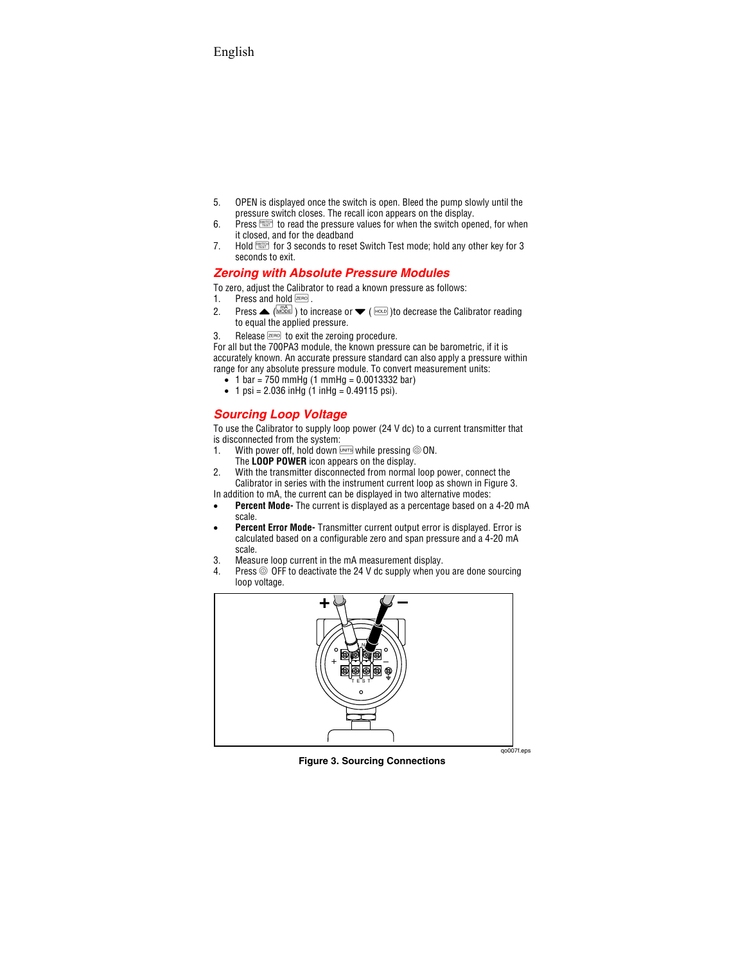- 5. OPEN is displayed once the switch is open. Bleed the pump slowly until the pressure switch closes. The recall icon appears on the display.
- 6. Press  $\frac{1}{\sqrt{1-\epsilon}}$  to read the pressure values for when the switch opened, for when it closed, and for the deadband
- 7. Hold  $\frac{SW(TC)}{TES(T)}$  for 3 seconds to reset Switch Test mode; hold any other key for 3 seconds to exit.

## *Zeroing with Absolute Pressure Modules*

To zero, adjust the Calibrator to read a known pressure as follows:<br>1. Press and hold  $\overline{z_{\text{EPO}}}$ .

- Press and hold **ZERO**
- 2. Press  $\triangle$  ( $\frac{m\lambda}{\text{MODE}}$ ) to increase or  $\blacktriangledown$  ( $\text{HOD}$ )to decrease the Calibrator reading to equal the applied pressure.
- 3. Release  $\overline{z}$  and to exit the zeroing procedure.

For all but the 700PA3 module, the known pressure can be barometric, if it is accurately known. An accurate pressure standard can also apply a pressure within range for any absolute pressure module. To convert measurement units:

- 1 bar = 750 mmHg (1 mmHg = 0.0013332 bar)
- 1 psi =  $2.036$  inHg  $(1 \text{ inHa} = 0.49115 \text{ psi})$ .

## *Sourcing Loop Voltage*

To use the Calibrator to supply loop power (24 V dc) to a current transmitter that is disconnected from the system:

- 1. With power off, hold down  $U$  while pressing  $\textcircled{\small{}}$  ON. The **LOOP POWER** icon appears on the display.
- 2. With the transmitter disconnected from normal loop power, connect the Calibrator in series with the instrument current loop as shown in Figure 3.

In addition to mA, the current can be displayed in two alternative modes:

- **Percent Mode-** The current is displayed as a percentage based on a 4-20 mA scale.
- **Percent Error Mode-** Transmitter current output error is displayed. Error is calculated based on a configurable zero and span pressure and a 4-20 mA scale.
- 3. Measure loop current in the mA measurement display.<br>4. Press  $\circledcirc$  OFF to deactivate the 24 V dc supply when yo
- Press  $\circledcirc$  OFF to deactivate the 24 V dc supply when you are done sourcing loop voltage.



**Figure 3. Sourcing Connections** 

qo007f.eps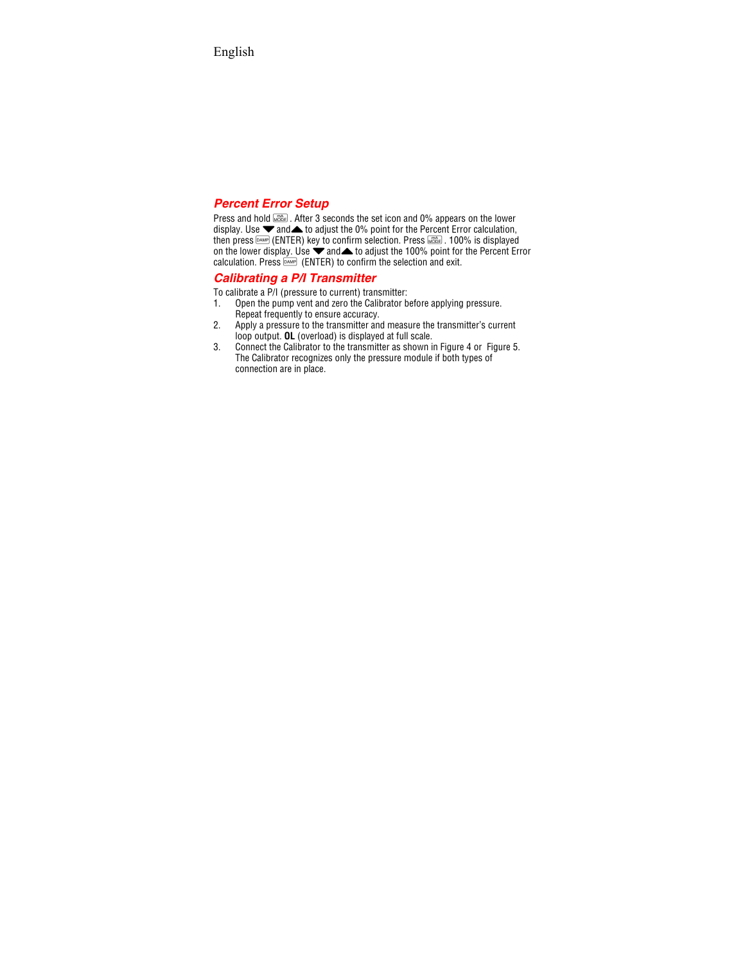### *Percent Error Setup*

Press and hold  $\frac{1}{2}$ . After 3 seconds the set icon and 0% appears on the lower display. Use  $\blacktriangledown$  and  $\blacktriangle$  to adjust the 0% point for the Percent Error calculation, then press  $\text{DAMP}$  (ENTER) key to confirm selection. Press  $\text{DAMP}$ . 100% is displayed on the lower display. Use  $\blacktriangledown$  and to adjust the 100% point for the Percent Error calculation. Press  $\overline{p_{\text{AMP}}}$  (ENTER) to confirm the selection and exit.

### *Calibrating a P/I Transmitter*

To calibrate a P/I (pressure to current) transmitter:

- 1. Open the pump vent and zero the Calibrator before applying pressure. Repeat frequently to ensure accuracy.
- 2. Apply a pressure to the transmitter and measure the transmitter's current loop output. **OL** (overload) is displayed at full scale.
- 3. Connect the Calibrator to the transmitter as shown in Figure 4 or Figure 5. The Calibrator recognizes only the pressure module if both types of connection are in place.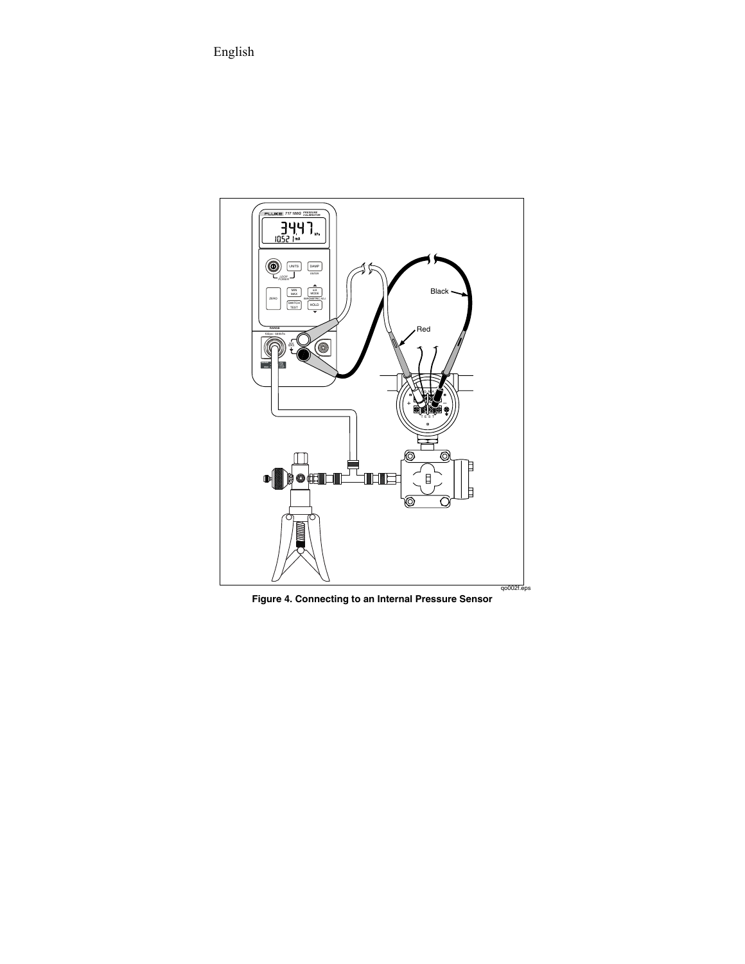

**Figure 4. Connecting to an Internal Pressure Sensor**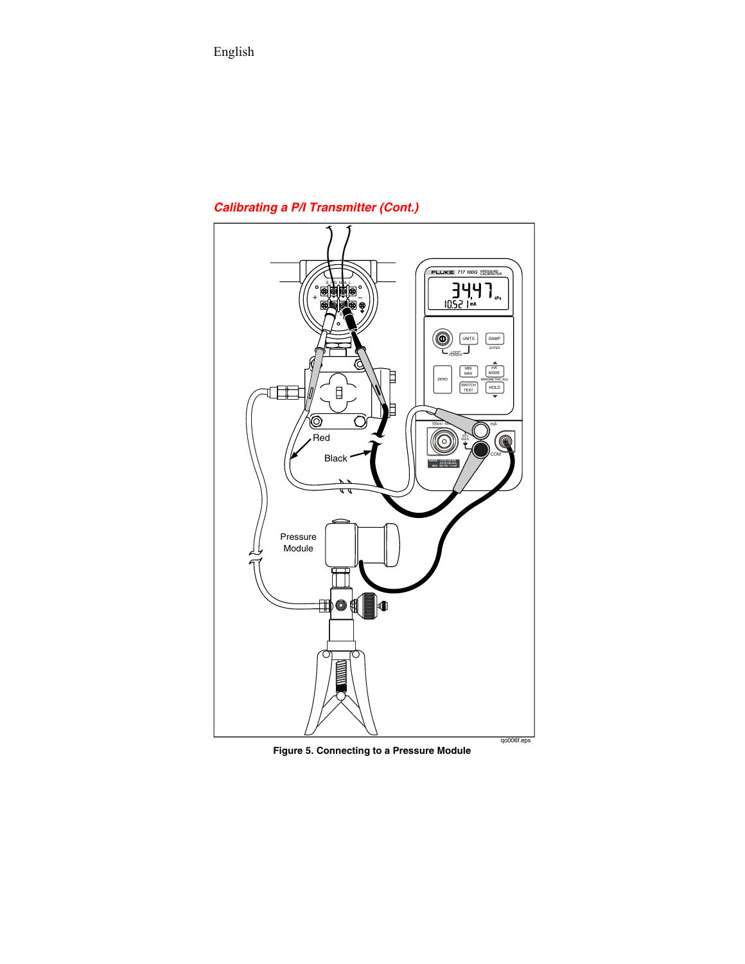## *Calibrating a P/I Transmitter (Cont.)*



**Figure 5. Connecting to a Pressure Module**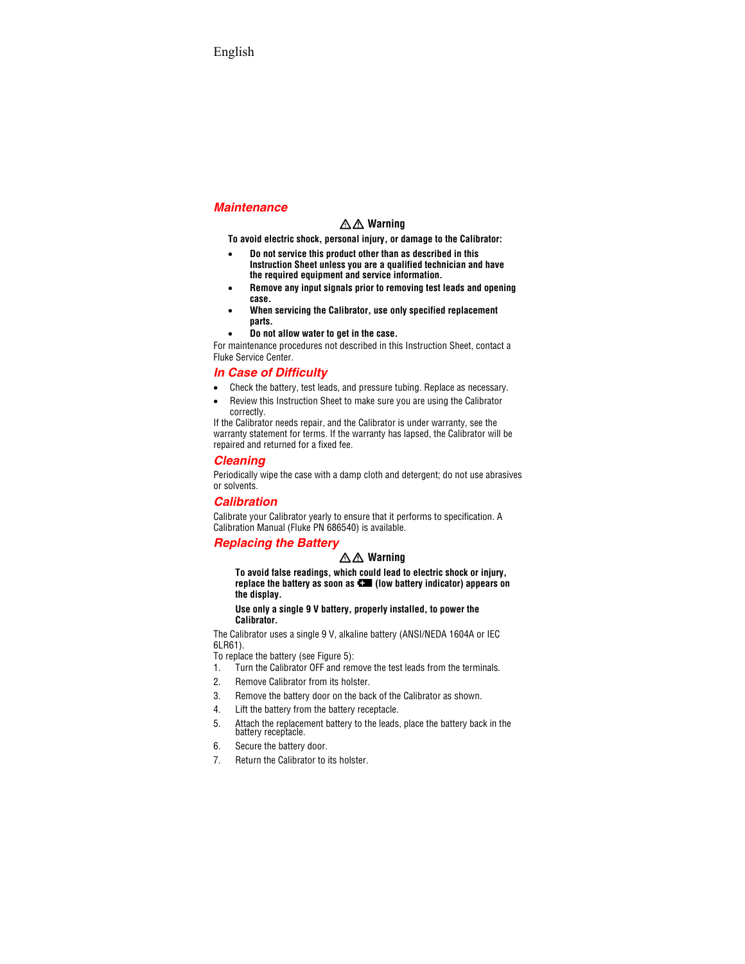### *Maintenance*

## XW **Warning**

**To avoid electric shock, personal injury, or damage to the Calibrator:** 

- **Do not service this product other than as described in this Instruction Sheet unless you are a qualified technician and have the required equipment and service information.**
- **Remove any input signals prior to removing test leads and opening case.**
- **When servicing the Calibrator, use only specified replacement parts.**
- **Do not allow water to get in the case.**

For maintenance procedures not described in this Instruction Sheet, contact a Fluke Service Center.

## *In Case of Difficulty*

- Check the battery, test leads, and pressure tubing. Replace as necessary.
- Review this Instruction Sheet to make sure you are using the Calibrator correctly.

If the Calibrator needs repair, and the Calibrator is under warranty, see the warranty statement for terms. If the warranty has lapsed, the Calibrator will be repaired and returned for a fixed fee.

## *Cleaning*

Periodically wipe the case with a damp cloth and detergent; do not use abrasives or solvents.

## *Calibration*

Calibrate your Calibrator yearly to ensure that it performs to specification. A Calibration Manual (Fluke PN 686540) is available.

## *Replacing the Battery*

## XW **Warning**

**To avoid false readings, which could lead to electric shock or injury, replace the battery as soon as**  $\blacksquare$  **(low battery indicator) appears on the display.** 

**Use only a single 9 V battery, properly installed, to power the Calibrator.** 

The Calibrator uses a single 9 V, alkaline battery (ANSI/NEDA 1604A or IEC 6LR61).

To replace the battery (see Figure 5):

- 1. Turn the Calibrator OFF and remove the test leads from the terminals.
- 2. Remove Calibrator from its holster.
- 3. Remove the battery door on the back of the Calibrator as shown.
- 4. Lift the battery from the battery receptacle.
- 5. Attach the replacement battery to the leads, place the battery back in the battery receptacle.
- 6. Secure the battery door.
- 7. Return the Calibrator to its holster.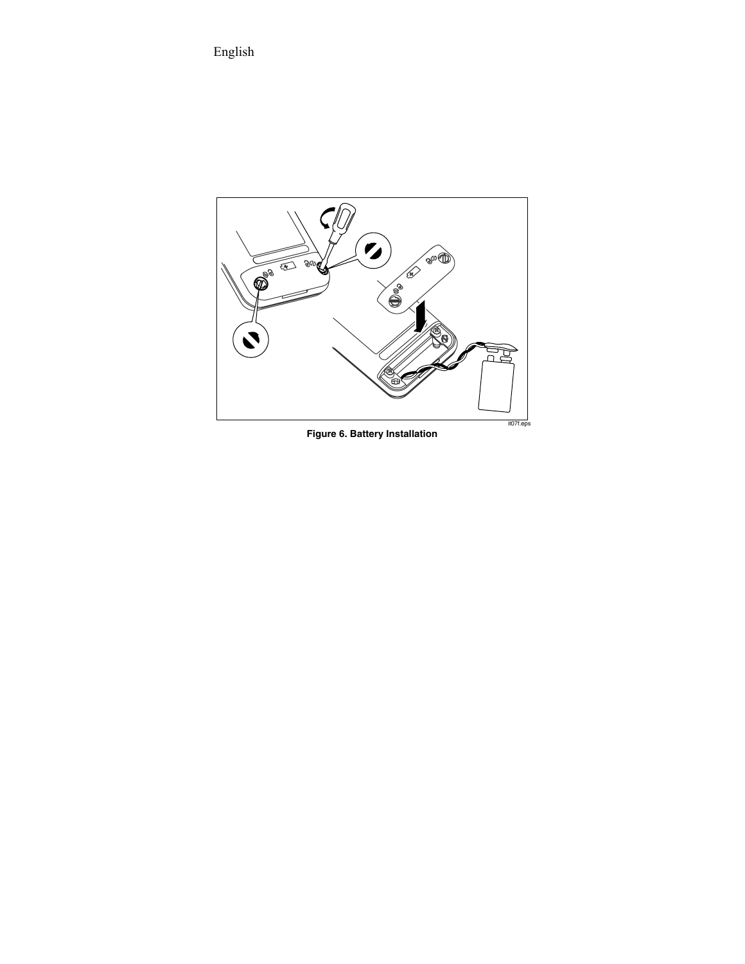

**Figure 6. Battery Installation**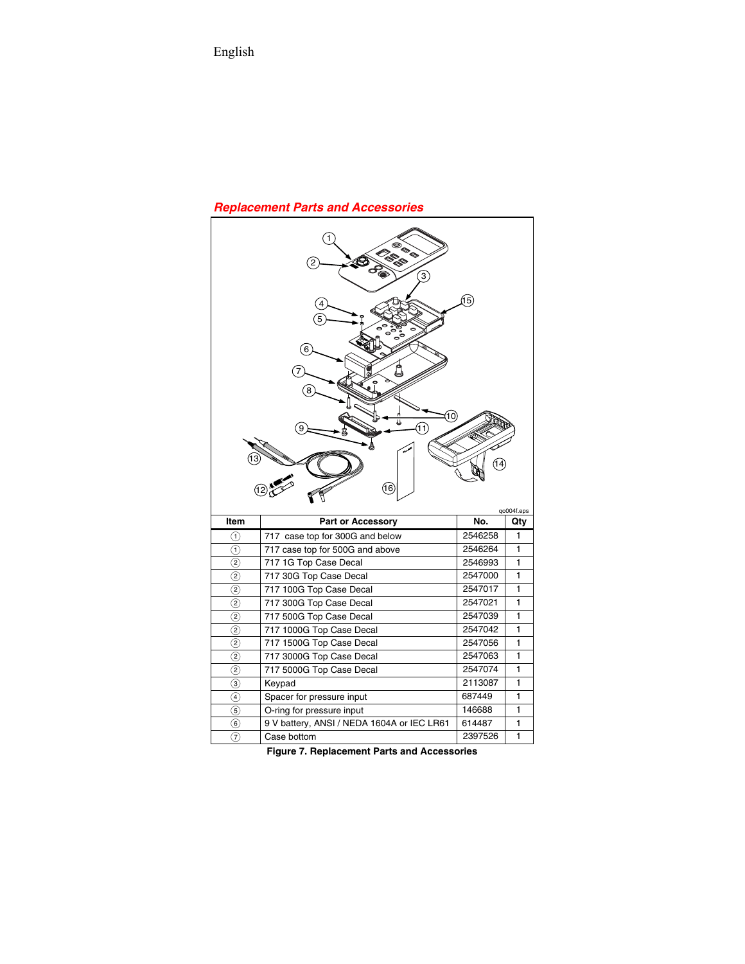## *Replacement Parts and Accessories*

|                   | $\overline{\mathbf{c}}$<br>$\mathbf{3}$<br>4<br>5<br>6<br>8<br>(10)<br>(11)<br>(16) | (15)<br>14        | qo004f.eps   |
|-------------------|-------------------------------------------------------------------------------------|-------------------|--------------|
| <b>Item</b>       | No.<br>Part or Accessory                                                            |                   |              |
| 7                 | 717 case top for 300G and below                                                     | 2546258           | 1            |
| 7                 | 717 case top for 500G and above                                                     | 2546264           | 1            |
| $\circled{2}$     | 717 1G Top Case Decal                                                               | 2546993           | 1            |
| (2)               | 717 30G Top Case Decal                                                              | 2547000           | 1            |
| $\left( 2\right)$ | 717 100G Top Case Decal                                                             |                   |              |
| $\circled{2}$     |                                                                                     | 2547017           | 1            |
|                   | 717 300G Top Case Decal                                                             | 2547021           | 1            |
| (2)               | 717 500G Top Case Decal                                                             | 2547039           | 1            |
| $\overline{2}$    | 717 1000G Top Case Decal                                                            | 2547042           | 1            |
| (2)               | 717 1500G Top Case Decal                                                            | 2547056           | 1            |
| (2)               | 717 3000G Top Case Decal                                                            | 2547063           | 1            |
| (2)               | 717 5000G Top Case Decal                                                            | 2547074           | 1            |
| $\circled{3}$     | Keypad                                                                              | 2113087           | 1            |
| $\circled{4}$     | Spacer for pressure input                                                           | 687449            | 1            |
| (5)               | O-ring for pressure input                                                           | 146688            | $\mathbf{1}$ |
| (6)<br>(7)        | 9 V battery, ANSI / NEDA 1604A or IEC LR61                                          | 614487<br>2397526 | 1<br>1       |

**Figure 7. Replacement Parts and Accessories**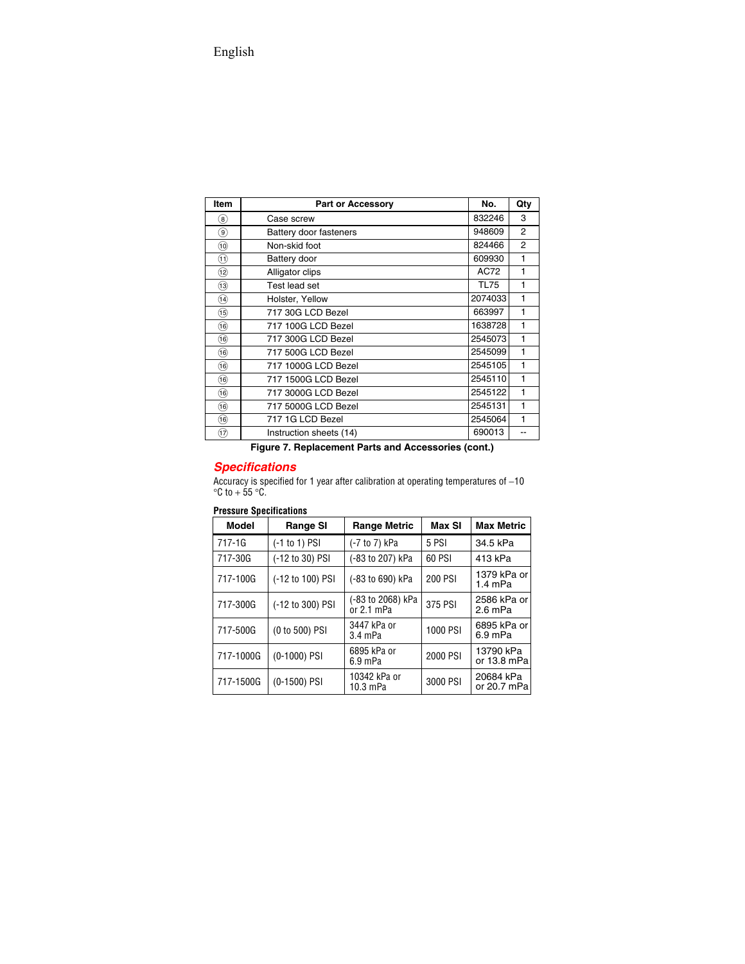| Item                    | Part or Accessory       | No.         | Qty            |
|-------------------------|-------------------------|-------------|----------------|
| $\left( 8\right)$       | Case screw              | 832246      | 3              |
| $\left(9\right)$        | Battery door fasteners  | 948609      | $\overline{2}$ |
| (10)                    | Non-skid foot           | 824466      | $\overline{2}$ |
| (11)                    | Battery door            | 609930      | 1              |
| 12)                     | Alligator clips         | AC72        | 1              |
| (13)                    | Test lead set           | <b>TL75</b> | 1              |
| $\widehat{\mathcal{A}}$ | Holster, Yellow         | 2074033     | 1              |
| (15)                    | 717 30G LCD Bezel       | 663997      | 1              |
| (16)                    | 717 100G LCD Bezel      | 1638728     | 1              |
| (16)                    | 717 300G LCD Bezel      | 2545073     | 1              |
| (16)                    | 717 500G LCD Bezel      | 2545099     | 1              |
| (16)                    | 717 1000G LCD Bezel     | 2545105     | 1              |
| (16)                    | 717 1500G LCD Bezel     | 2545110     | 1              |
| (16)                    | 717 3000G LCD Bezel     | 2545122     | 1              |
| (16)                    | 717 5000G LCD Bezel     | 2545131     | 1              |
| (16)                    | 717 1G LCD Bezel        | 2545064     | 1              |
| (17)                    | Instruction sheets (14) | 690013      |                |

### **Figure 7. Replacement Parts and Accessories (cont.)**

### *Specifications*

Accuracy is specified for 1 year after calibration at operating temperatures of −10  $\mathrm{^{\circ}C}$  to  $+55$   $\mathrm{^{\circ}C}$ .

### **Pressure Specifications**

| <b>Model</b> | <b>Range SI</b>  | <b>Range Metric</b>               | Max SI   | <b>Max Metric</b>        |
|--------------|------------------|-----------------------------------|----------|--------------------------|
| 717-1G       | (-1 to 1) PSI    | (-7 to 7) kPa                     | 5 PSI    | 34.5 kPa                 |
| 717-30G      | (-12 to 30) PSI  | (-83 to 207) kPa                  | 60 PSI   | 413 kPa                  |
| 717-100G     | (-12 to 100) PSI | (-83 to 690) kPa                  | 200 PSI  | 1379 kPa or<br>$1.4$ mPa |
| 717-300G     | (-12 to 300) PSI | (-83 to 2068) kPa<br>$or 2.1$ mPa | 375 PSI  | 2586 kPa or<br>$2.6$ mPa |
| 717-500G     | (0 to 500) PSI   | 3447 kPa or<br>$3.4$ mPa          | 1000 PSI | 6895 kPa or<br>$6.9$ mPa |
| 717-1000G    | (0-1000) PSI     | 6895 kPa or<br>$6.9$ mPa          | 2000 PSI | 13790 kPa<br>or 13.8 mPa |
| 717-1500G    | $(0-1500)$ PSI   | 10342 kPa or<br>10.3 mPa          | 3000 PSI | 20684 kPa<br>or 20.7 mPa |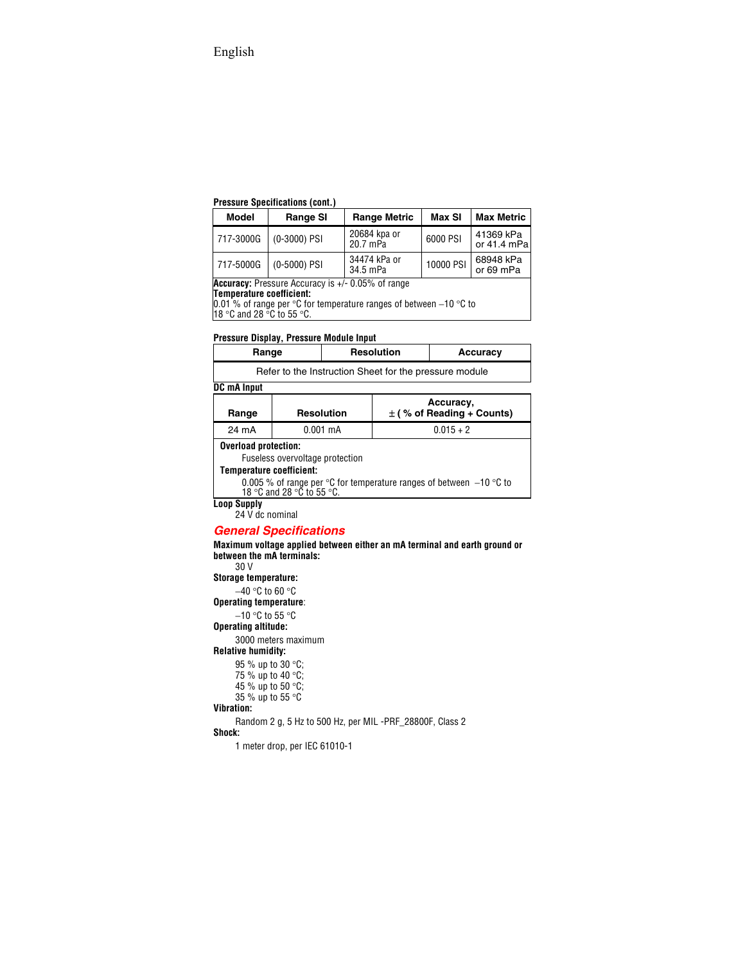#### **Pressure Specifications (cont.)**

| <b>Model</b>                                                                                                                                             | <b>Range SI</b> | <b>Range Metric</b>      | Max SI    | <b>Max Metric</b>          |
|----------------------------------------------------------------------------------------------------------------------------------------------------------|-----------------|--------------------------|-----------|----------------------------|
| 717-3000G                                                                                                                                                | (0-3000) PSI    | 20684 kpa or<br>20.7 mPa | 6000 PSI  | 41369 kPa<br>or $41.4$ mPa |
| 717-5000G                                                                                                                                                | (0-5000) PSI    | 34474 kPa or<br>34.5 mPa | 10000 PSI | 68948 kPa<br>or 69 mPa     |
| Accuracy: Pressure Accuracy is +/- 0.05% of range<br>Temperature coefficient:<br>$0.010$ of range par $00$ for temperature repairs of between $10.00$ to |                 |                          |           |                            |

0.01 % of range per °C for temperature ranges of between −10 °C to

18 °C and 28 °C to 55 °C.

#### **Pressure Display, Pressure Module Input**

| Range                                                  | <b>Resolution</b> | Accuracy |
|--------------------------------------------------------|-------------------|----------|
| Refer to the Instruction Sheet for the pressure module |                   |          |

#### **DC mA Input**

| Range                                                                                                                | <b>Resolution</b> | Accuracy,<br>$\pm$ (% of Reading + Counts) |
|----------------------------------------------------------------------------------------------------------------------|-------------------|--------------------------------------------|
| 24 mA                                                                                                                | $0.001$ mA        | $0.015 + 2$                                |
| <b>Overload protection:</b><br>Fuseless overvoltage protection                                                       |                   |                                            |
| Temperature coefficient:                                                                                             |                   |                                            |
| 0.005 % of range per $\degree$ C for temperature ranges of between $-10$ $\degree$ C to<br>18 °C and 28 °C to 55 °C. |                   |                                            |

**Loop Supply**

24 V dc nominal

### *General Specifications*

**Maximum voltage applied between either an mA terminal and earth ground or between the mA terminals:**

30 V

#### **Storage temperature:**

−40 °C to 60 °C

#### **Operating temperature**:

−10 °C to 55 °C

#### **Operating altitude:**

3000 meters maximum

#### **Relative humidity:**

95 % up to 30 °C; 75 % up to 40 °C; 45 % up to 50 °C; 35 % up to 55 °C

#### **Vibration:**

Random 2 g, 5 Hz to 500 Hz, per MIL -PRF\_28800F, Class 2

#### **Shock:**

1 meter drop, per IEC 61010-1